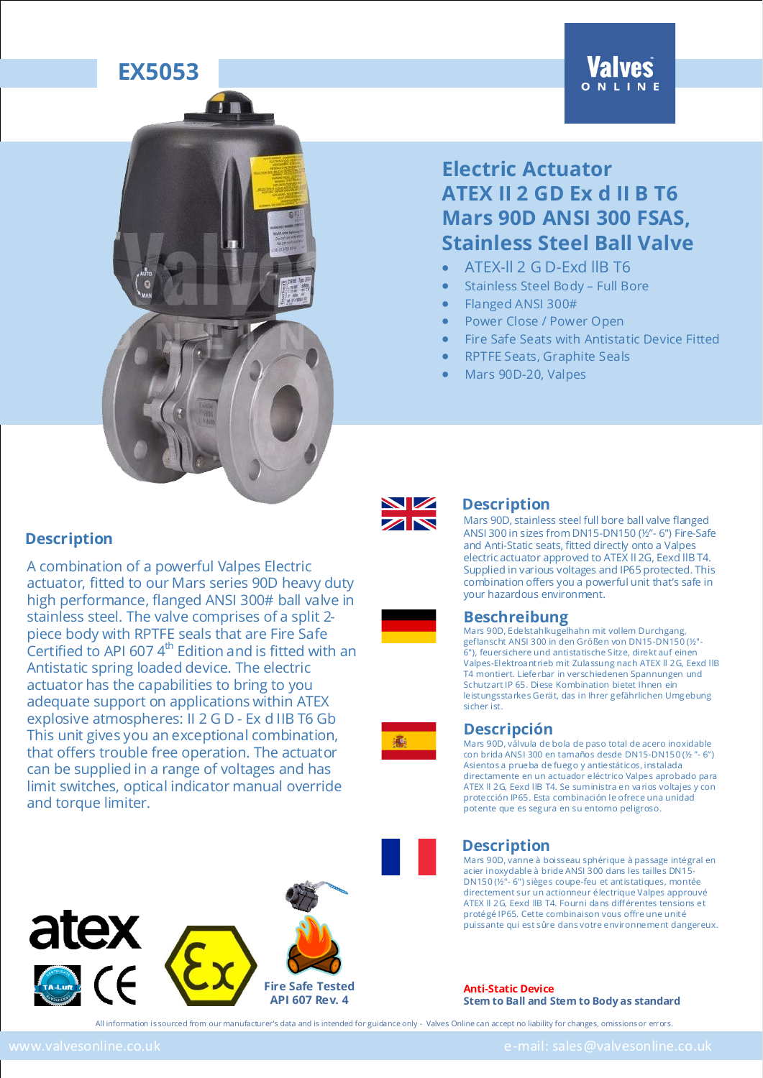



A combination of a powerful Valpes Electric

Antistatic spring loaded device. The electric actuator has the capabilities to bring to you adequate support on applications within ATEX explosive atmospheres: II 2 G D - Ex d IIB T6 Gb This unit gives you an exceptional combination, that offers trouble free operation. The actuator can be supplied in a range of voltages and has limit switches, optical indicator manual override

actuator, fitted to our Mars series 90D heavy duty high performance, flanged ANSI 300# ball valve in stainless steel. The valve comprises of a split 2 piece body with RPTFE seals that are Fire Safe Certified to API 607 4<sup>th</sup> Edition and is fitted with an

### **Electric Actuator ATEX II 2 GD Ex d II B T6 Mars 90D ANSI 300 FSAS, Stainless Steel Ball Valve**

- ATEX-ll 2 G D-Exd llB T6
- Stainless Steel Body Full Bore
- Flanged ANSI 300#
- Power Close / Power Open
- Fire Safe Seats with Antistatic Device Fitted
- RPTFE Seats, Graphite Seals
- Mars 90D-20, Valpes



#### **Description**

Mars 90D, stainless steel full bore ball valve flanged ANSI 300 in sizes from DN15-DN150 (½"- 6") Fire-Safe and Anti-Static seats, fitted directly onto a Valpes electric actuator approved to ATEX ll 2G, Eexd llB T4. Supplied in various voltages and IP65 protected. This combination offers you a powerful unit that's safe in your hazardous environment.

#### **Beschreibung**

Mars 90D, Edelstahlkugelhahn mit vollem Durchgang, geflanscht ANSI 300 in den Größen von DN15-DN150 (½"- 6"), feuersichere und antistatische Sitze, direkt auf einen Valpes-Elektroantrieb mit Zulassung nach ATEX ll 2G, Eexd llB T4 montiert. Lieferbar in verschiedenen Spannungen und Schutzart IP 65. Diese Kombination bietet Ihnen ein leistungsstarkes Gerät, das in Ihrer gefährlichen Umgebung sicher ist.



#### **Descripción**

Mars 90D, válvula de bola de paso total de acero inoxidable con brida ANSI 300 en tamaños desde DN15-DN150 (½ "- 6") Asientos a prueba de fuego y antiestáticos, instalada directamente en un actuador eléctrico Valpes aprobado para ATEX ll 2G, Eexd llB T4. Se suministra en varios voltajes y con protección IP65. Esta combinación le ofrece una unidad potente que es segura en su entorno peligroso.



#### **Description**

Mars 90D, vanne à boisseau sphérique à passage intégral en acier inoxydable à bride ANSI 300 dans les tailles DN15- DN150 (½"- 6") sièges coupe-feu et antistatiques, montée directement sur un actionneur électrique Valpes approuvé ATEX ll 2G, Eexd llB T4. Fourni dans différentes tensions et protégé IP65. Cette combinaison vous offre une unité puissante qui est sûre dans votre environnement dangereux.

**Anti-Static Device Stem to Ball and Stem to Body as standard**

atex



All information is sourced from our manufacturer's data and is intended for guidance only - Valves Online can accept no liability for changes, omissions or errors.

and torque limiter.

**Description**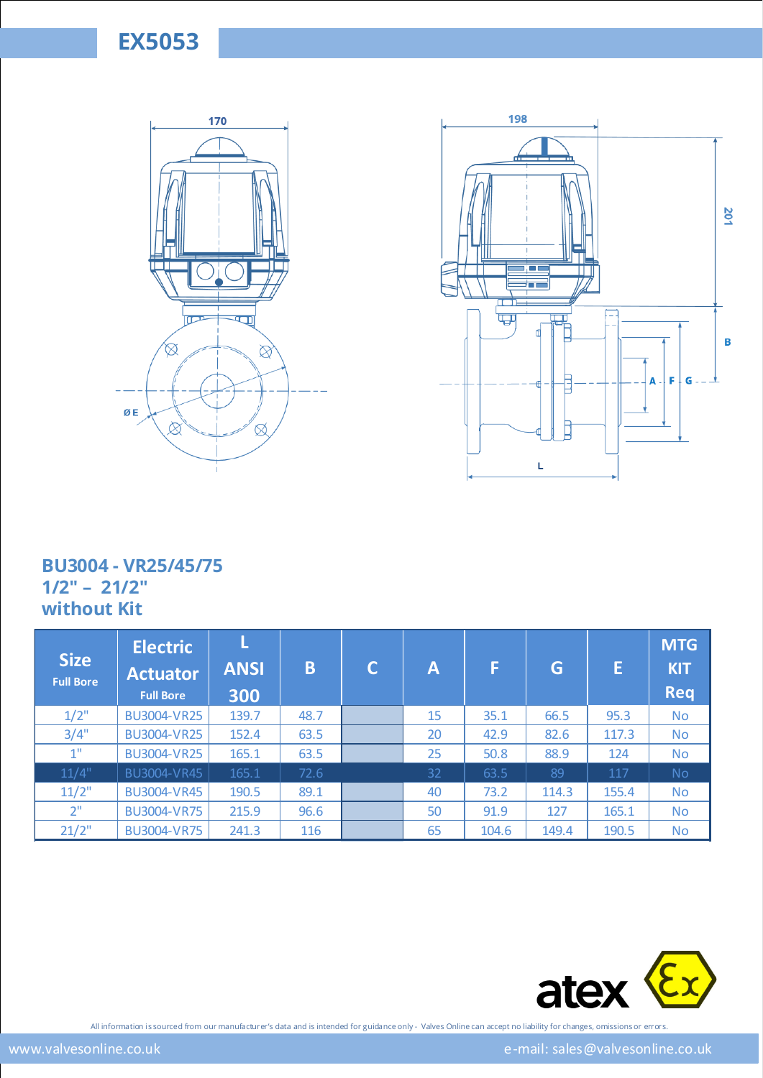



### **BU3004 - VR25/45/75 1/2" – 21/2" without Kit**

| <b>Size</b><br><b>Full Bore</b> | <b>Electric</b><br><b>Actuator</b><br><b>Full Bore</b> | <b>ANSI</b><br>300 | B    | C | A  | F     | G     | E     | <b>MTG</b><br><b>KIT</b><br><b>Req</b> |
|---------------------------------|--------------------------------------------------------|--------------------|------|---|----|-------|-------|-------|----------------------------------------|
| $1/2$ "                         | <b>BU3004-VR25</b>                                     | 139.7              | 48.7 |   | 15 | 35.1  | 66.5  | 95.3  | <b>No</b>                              |
| 3/4"                            | <b>BU3004-VR25</b>                                     | 152.4              | 63.5 |   | 20 | 42.9  | 82.6  | 117.3 | <b>No</b>                              |
| 1 <sup>0</sup>                  | <b>BU3004-VR25</b>                                     | 165.1              | 63.5 |   | 25 | 50.8  | 88.9  | 124   | <b>No</b>                              |
| 11/4"                           | BU3004-VR45                                            | 165.1              | 72.6 |   | 32 | 63.5  | 89    | 117   | No                                     |
| $11/2$ "                        | <b>BU3004-VR45</b>                                     | 190.5              | 89.1 |   | 40 | 73.2  | 114.3 | 155.4 | No.                                    |
| 2 <sup>0</sup>                  | <b>BU3004-VR75</b>                                     | 215.9              | 96.6 |   | 50 | 91.9  | 127   | 165.1 | <b>No</b>                              |
| 21/2"                           | <b>BU3004-VR75</b>                                     | 241.3              | 116  |   | 65 | 104.6 | 149.4 | 190.5 | <b>No</b>                              |
|                                 |                                                        |                    |      |   |    |       |       |       |                                        |

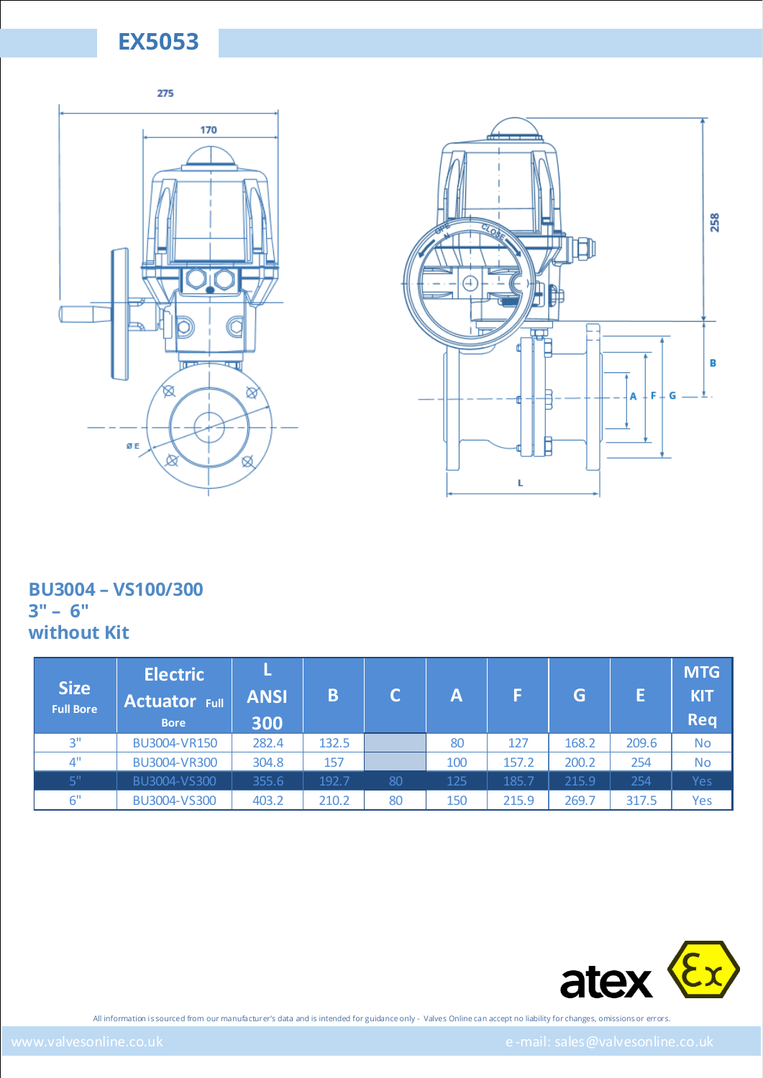



### **BU3004 – VS100/300 3" – 6" without Kit**

| <b>Size</b><br><b>Full Bore</b> | <b>Electric</b><br><b>Actuator Full</b><br><b>Bore</b> | <b>ANSI</b><br>300 | B     |    | Α   | F     | G     |       | <b>MTG</b><br><b>KIT</b><br><b>Req</b> |
|---------------------------------|--------------------------------------------------------|--------------------|-------|----|-----|-------|-------|-------|----------------------------------------|
| 3"                              | BU3004-VR150                                           | 282.4              | 132.5 |    | 80  | 127   | 168.2 | 209.6 | <b>No</b>                              |
| 4"                              | BU3004-VR300                                           | 304.8              | 157   |    | 100 | 157.2 | 200.2 | 254   | <b>No</b>                              |
| 5"                              | BU3004-VS300                                           | 355.6              | 192.7 | 80 | 125 | 185.7 | 215.9 | 254   | Yes                                    |
| 6"                              | BU3004-VS300                                           | 403.2              | 210.2 | 80 | 150 | 215.9 | 269.7 | 317.5 | Yes                                    |

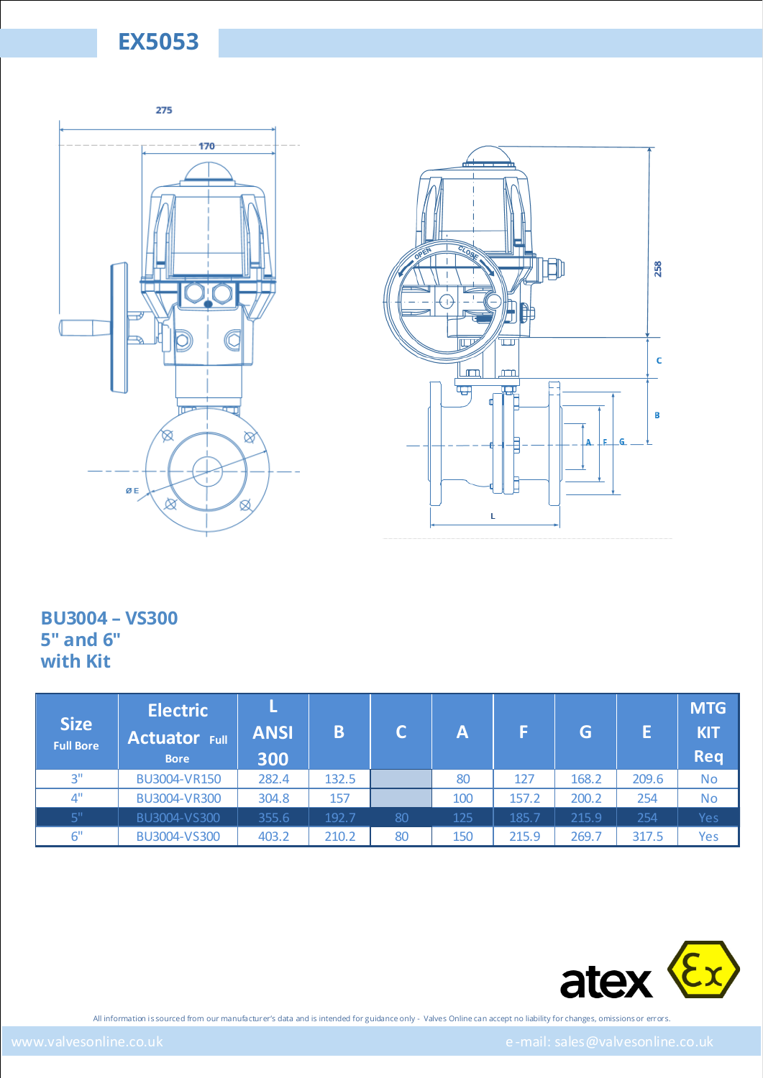



#### **BU3004 – VS300 5" and 6" with Kit**

| <b>Size</b><br><b>Full Bore</b> | <b>Electric</b><br><b>Actuator Full</b><br><b>Bore</b> | <b>ANSI</b><br>300 | B     |    | Α   |       | G     |       | <b>MTG</b><br><b>KIT</b><br><b>Req</b> |
|---------------------------------|--------------------------------------------------------|--------------------|-------|----|-----|-------|-------|-------|----------------------------------------|
| 3"                              | BU3004-VR150                                           | 282.4              | 132.5 |    | 80  | 127   | 168.2 | 209.6 | <b>No</b>                              |
| 4"                              | BU3004-VR300                                           | 304.8              | 157   |    | 100 | 157.2 | 200.2 | 254   | <b>No</b>                              |
| 5"                              | BU3004-VS300                                           | 355.6              | 192.7 | 80 | 125 | 185.7 | 215.9 | 254   | Yes                                    |
| 6"                              | BU3004-VS300                                           | 403.2              | 210.2 | 80 | 150 | 215.9 | 269.7 | 317.5 | Yes                                    |

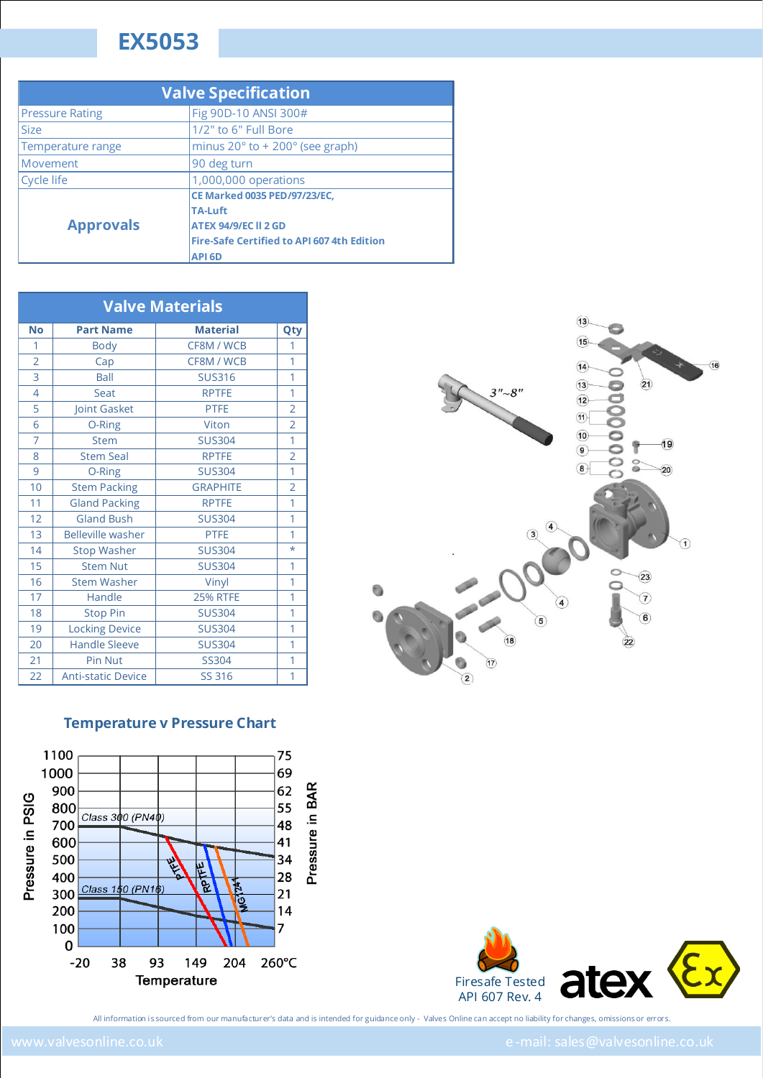| <b>Valve Specification</b> |                                                   |  |  |  |  |
|----------------------------|---------------------------------------------------|--|--|--|--|
| <b>Pressure Rating</b>     | Fig 90D-10 ANSI 300#                              |  |  |  |  |
| <b>Size</b>                | 1/2" to 6" Full Bore                              |  |  |  |  |
| Temperature range          | minus $20^\circ$ to + $200^\circ$ (see graph)     |  |  |  |  |
| Movement                   | 90 deg turn                                       |  |  |  |  |
| Cycle life                 | 1,000,000 operations                              |  |  |  |  |
|                            | CE Marked 0035 PED/97/23/EC,                      |  |  |  |  |
|                            | <b>TA-Luft</b>                                    |  |  |  |  |
| <b>Approvals</b>           | <b>ATEX 94/9/EC II 2 GD</b>                       |  |  |  |  |
|                            | <b>Fire-Safe Certified to API 607 4th Edition</b> |  |  |  |  |
|                            | <b>API 6D</b>                                     |  |  |  |  |

| <b>Valve Materials</b> |                           |                 |                |  |  |  |  |
|------------------------|---------------------------|-----------------|----------------|--|--|--|--|
| <b>No</b>              | <b>Part Name</b>          | <b>Material</b> | Qty            |  |  |  |  |
| 1                      | <b>Body</b>               | CF8M / WCB      | 1              |  |  |  |  |
| $\overline{2}$         | Cap                       | CF8M / WCB      | 1              |  |  |  |  |
| 3                      | Ball                      | <b>SUS316</b>   | 1              |  |  |  |  |
| $\overline{4}$         | <b>Seat</b>               | <b>RPTFE</b>    | 1              |  |  |  |  |
| 5                      | Joint Gasket              | <b>PTFE</b>     | $\overline{2}$ |  |  |  |  |
| 6                      | O-Ring                    | Viton           | $\overline{2}$ |  |  |  |  |
| $\overline{7}$         | <b>Stem</b>               | <b>SUS304</b>   | $\overline{1}$ |  |  |  |  |
| 8                      | <b>Stem Seal</b>          | <b>RPTFE</b>    | $\overline{2}$ |  |  |  |  |
| 9                      | O-Ring                    | <b>SUS304</b>   | 1              |  |  |  |  |
| 10                     | <b>Stem Packing</b>       | <b>GRAPHITE</b> | $\overline{2}$ |  |  |  |  |
| 11                     | <b>Gland Packing</b>      | <b>RPTFE</b>    | 1              |  |  |  |  |
| 12                     | Gland Bush                | <b>SUS304</b>   | 1              |  |  |  |  |
| 13                     | <b>Belleville washer</b>  | <b>PTFE</b>     | 1              |  |  |  |  |
| 14                     | <b>Stop Washer</b>        | <b>SUS304</b>   | $\star$        |  |  |  |  |
| 15                     | <b>Stem Nut</b>           | <b>SUS304</b>   | 1              |  |  |  |  |
| 16                     | <b>Stem Washer</b>        | Vinyl           | 1              |  |  |  |  |
| 17                     | Handle                    | <b>25% RTFE</b> | 1              |  |  |  |  |
| 18                     | <b>Stop Pin</b>           | <b>SUS304</b>   | 1              |  |  |  |  |
| 19                     | <b>Locking Device</b>     | <b>SUS304</b>   | 1              |  |  |  |  |
| 20                     | <b>Handle Sleeve</b>      | <b>SUS304</b>   | 1              |  |  |  |  |
| 21                     | Pin Nut                   | <b>SS304</b>    | 1              |  |  |  |  |
| 22                     | <b>Anti-static Device</b> | <b>SS 316</b>   | 1              |  |  |  |  |



#### **Temperature v Pressure Chart**